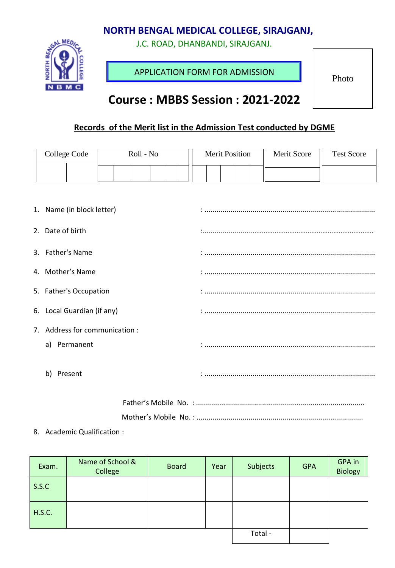## **NORTH BENGAL MEDICAL COLLEGE, SIRAJGANJ,**

J.C. ROAD, DHANBANDI, SIRAJGANJ.



APPLICATION FORM FOR ADMISSION

Photo

# **Course : MBBS Session : 2021-2022**

## **Records of the Merit list in the Admission Test conducted by DGME**

| College Code                  | Roll - No | <b>Merit Position</b> | Merit Score | <b>Test Score</b> |  |  |
|-------------------------------|-----------|-----------------------|-------------|-------------------|--|--|
|                               |           |                       |             |                   |  |  |
|                               |           |                       |             |                   |  |  |
| 1. Name (in block letter)     |           |                       |             |                   |  |  |
| 2. Date of birth              |           |                       |             |                   |  |  |
| 3. Father's Name              |           |                       |             |                   |  |  |
| 4. Mother's Name              |           |                       |             |                   |  |  |
| 5. Father's Occupation        |           |                       |             |                   |  |  |
| 6. Local Guardian (if any)    |           |                       |             |                   |  |  |
| 7. Address for communication: |           |                       |             |                   |  |  |
| Permanent<br>a)               |           |                       |             |                   |  |  |
| b)<br>Present                 |           |                       |             |                   |  |  |

#### 8. Academic Qualification :

| Exam.         | Name of School &<br>College | <b>Board</b> | Year | Subjects | <b>GPA</b> | GPA in<br><b>Biology</b> |
|---------------|-----------------------------|--------------|------|----------|------------|--------------------------|
| S.S.C         |                             |              |      |          |            |                          |
| <b>H.S.C.</b> |                             |              |      |          |            |                          |
|               |                             | Total -      |      |          |            |                          |